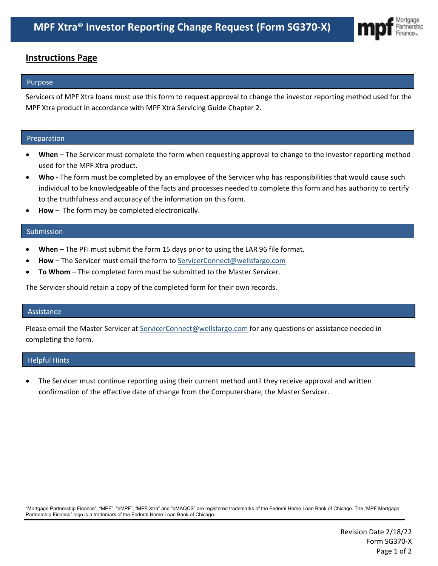

# **Instructions Page**

## Purpose

Servicers of MPF Xtra loans must use this form to request approval to change the investor reporting method used for the MPF Xtra product in accordance with MPF Xtra Servicing Guide Chapter 2.

#### Preparation

- **When**  The Servicer must complete the form when requesting approval to change to the investor reporting method used for the MPF Xtra product.
- **Who** The form must be completed by an employee of the Servicer who has responsibilities that would cause such individual to be knowledgeable of the facts and processes needed to complete this form and has authority to certify to the truthfulness and accuracy of the information on this form.
- **How** The form may be completed electronically.

## Submission

- **When** The PFI must submit the form 15 days prior to using the LAR 96 file format.
- **How** The Servicer must email the form t[o ServicerConnect@wellsfargo.com](mailto:ServicerConnect@wellsfargo.com)
- **To Whom** The completed form must be submitted to the Master Servicer.

The Servicer should retain a copy of the completed form for their own records.

#### Assistance

Please email the Master Servicer at [ServicerConnect@wellsfargo.com](mailto:ServicerConnect@wellsfargo.com) for any questions or assistance needed in completing the form.

#### Helpful Hints

The Servicer must continue reporting using their current method until they receive approval and written confirmation of the effective date of change from the Computershare, the Master Servicer.

"Mortgage Partnership Finance", "MPF", "eMPF", "MPF Xtra" and "eMAQCS" are registered trademarks of the Federal Home Loan Bank of Chicago. The "MPF Mortgage Partnership Finance" logo is a trademark of the Federal Home Loan Bank of Chicago.